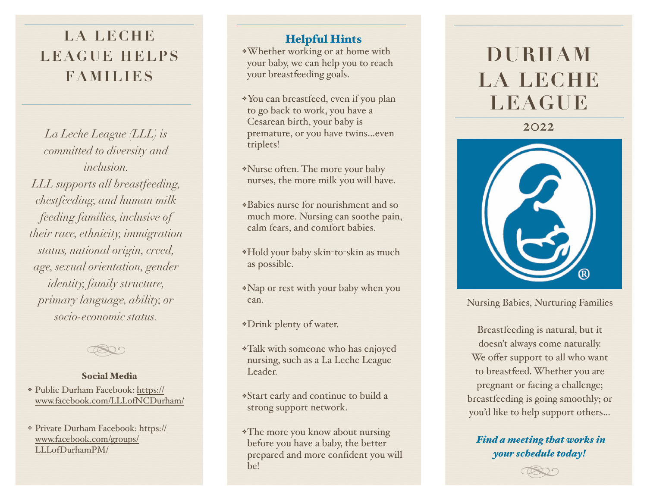## **LA LECHE LEAGUE HELPS FAMILIES**

*La Leche League (LLL) is committed to diversity and inclusion. LLL supports all breastfeeding, chestfeeding, and human milk feeding families, inclusive of their race, ethnicity, immigration status, national origin, creed, age, sexual orientation, gender identity, family structure, primary language, ability, or socio-economic status .*



#### Social Media

- ❖ Public Durham Facebook: [https://](https://www.facebook.com/LLLofNCDurham/) [www.facebook.com/LLLofNCDurham/](https://www.facebook.com/LLLofNCDurham/)
- ❖ Private Durham Facebook: [https://](https://www.facebook.com/groups/LLLofDurhamPM/) [www.facebook.com/groups/](https://www.facebook.com/groups/LLLofDurhamPM/) [LLLofDurhamPM/](https://www.facebook.com/groups/LLLofDurhamPM/)

#### Helpful Hints

❖Whether working or at home with your baby, we can help you to reach your breastfeeding goals.

- ❖You can breastfeed, even if you plan to go back to work, you have a Cesarean birth, your baby is premature, or you have twins…even triplets !
- ❖Nurse often. The more your baby nurses, the more milk you will have .
- ❖Babies nurse for nourishment and so much more. Nursing can soothe pain, calm fears, and comfort babies .
- ❖Hold your baby skin -to -skin as much as possible .
- ❖Nap or rest with your baby when you can.

❖Drink plenty of water.

- ❖Talk with someone who has enjoyed nursing, such as a La Leche League Leader.
- ❖Start early and continue to build a strong support network .
- ❖The more you know about nursing before you have a baby, the better prepared and more con fident you will be!

# **DURHAM LA LECHE LEAGUE**

2022



Nursing Babies, Nurturing Families

Breastfeeding is natural, but it doesn't always come naturally. We o ffer support to all who want to breastfeed. Whether you are pregnant or facing a challenge; breastfeeding is going smoothly; or you'd like to help support others …

*Find a meeting that works in your schedule today!*